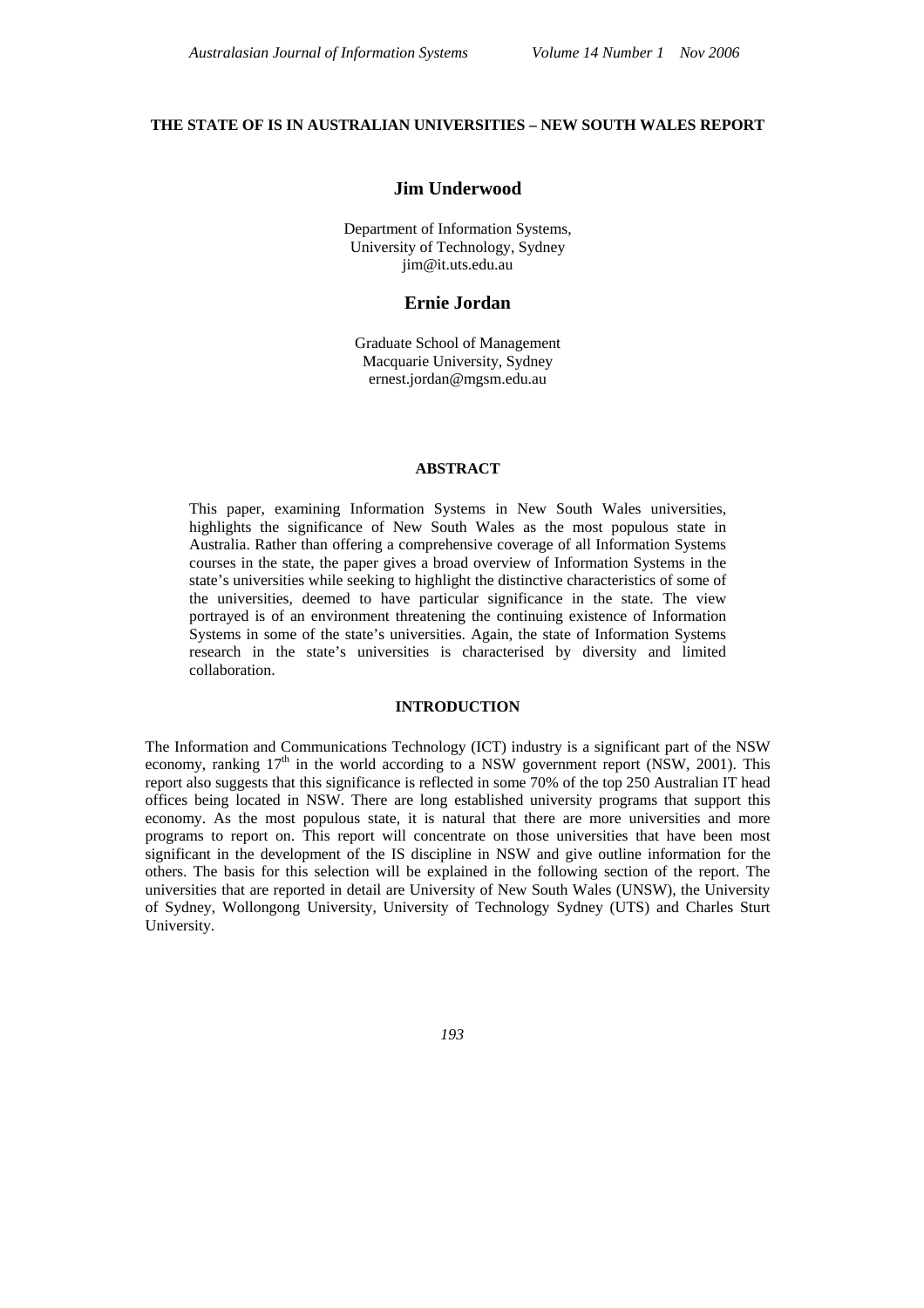### **THE STATE OF IS IN AUSTRALIAN UNIVERSITIES – NEW SOUTH WALES REPORT**

## **Jim Underwood**

Department of Information Systems, University of Technology, Sydney jim@it.uts.edu.au

# **Ernie Jordan**

Graduate School of Management Macquarie University, Sydney ernest.jordan@mgsm.edu.au

## **ABSTRACT**

This paper, examining Information Systems in New South Wales universities, highlights the significance of New South Wales as the most populous state in Australia. Rather than offering a comprehensive coverage of all Information Systems courses in the state, the paper gives a broad overview of Information Systems in the state's universities while seeking to highlight the distinctive characteristics of some of the universities, deemed to have particular significance in the state. The view portrayed is of an environment threatening the continuing existence of Information Systems in some of the state's universities. Again, the state of Information Systems research in the state's universities is characterised by diversity and limited collaboration.

## **INTRODUCTION**

The Information and Communications Technology (ICT) industry is a significant part of the NSW economy, ranking  $17<sup>th</sup>$  in the world according to a NSW government report (NSW, 2001). This report also suggests that this significance is reflected in some 70% of the top 250 Australian IT head offices being located in NSW. There are long established university programs that support this economy. As the most populous state, it is natural that there are more universities and more programs to report on. This report will concentrate on those universities that have been most significant in the development of the IS discipline in NSW and give outline information for the others. The basis for this selection will be explained in the following section of the report. The universities that are reported in detail are University of New South Wales (UNSW), the University of Sydney, Wollongong University, University of Technology Sydney (UTS) and Charles Sturt University.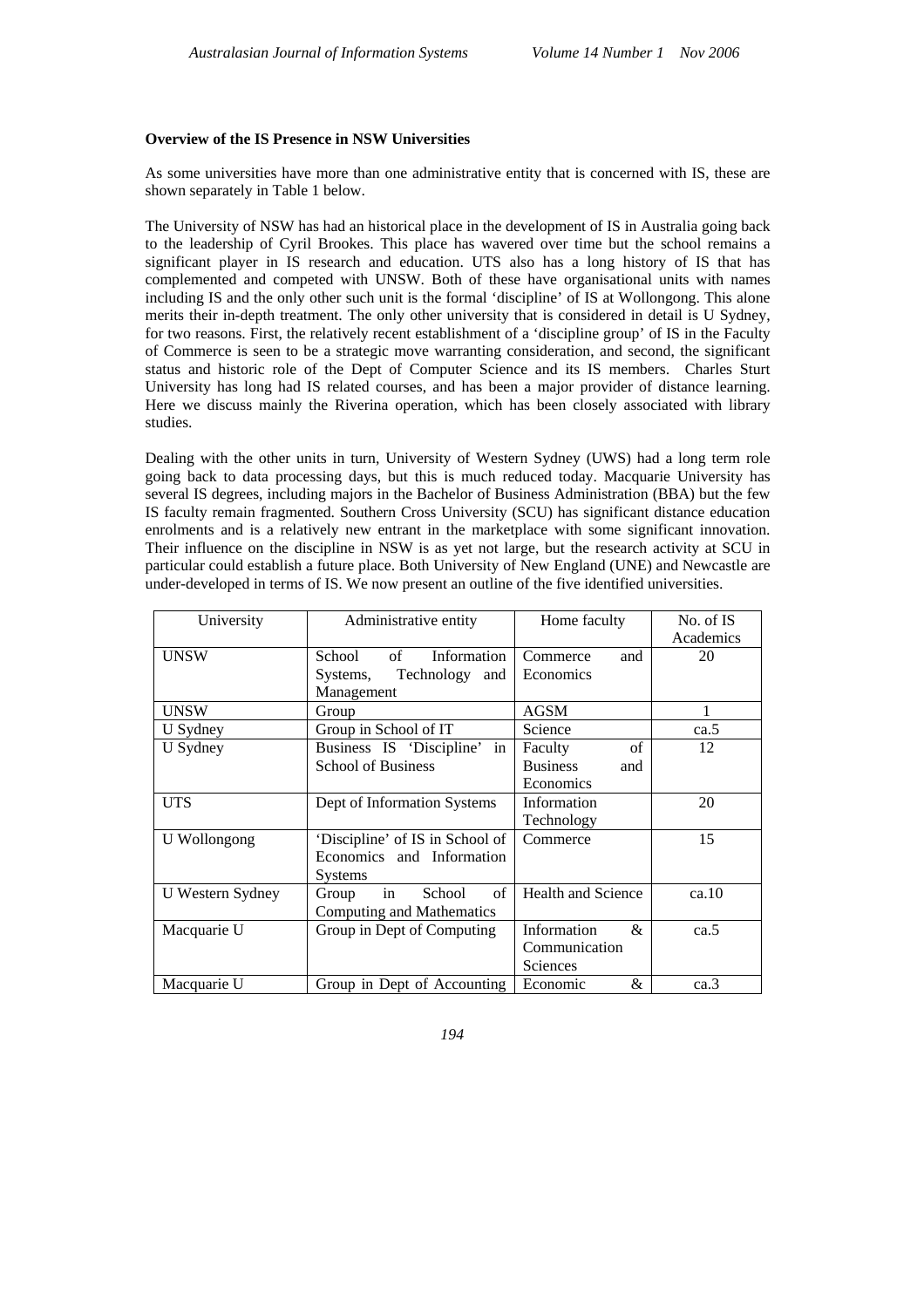### **Overview of the IS Presence in NSW Universities**

As some universities have more than one administrative entity that is concerned with IS, these are shown separately in Table 1 below.

The University of NSW has had an historical place in the development of IS in Australia going back to the leadership of Cyril Brookes. This place has wavered over time but the school remains a significant player in IS research and education. UTS also has a long history of IS that has complemented and competed with UNSW. Both of these have organisational units with names including IS and the only other such unit is the formal 'discipline' of IS at Wollongong. This alone merits their in-depth treatment. The only other university that is considered in detail is U Sydney, for two reasons. First, the relatively recent establishment of a 'discipline group' of IS in the Faculty of Commerce is seen to be a strategic move warranting consideration, and second, the significant status and historic role of the Dept of Computer Science and its IS members. Charles Sturt University has long had IS related courses, and has been a major provider of distance learning. Here we discuss mainly the Riverina operation, which has been closely associated with library studies.

Dealing with the other units in turn, University of Western Sydney (UWS) had a long term role going back to data processing days, but this is much reduced today. Macquarie University has several IS degrees, including majors in the Bachelor of Business Administration (BBA) but the few IS faculty remain fragmented. Southern Cross University (SCU) has significant distance education enrolments and is a relatively new entrant in the marketplace with some significant innovation. Their influence on the discipline in NSW is as yet not large, but the research activity at SCU in particular could establish a future place. Both University of New England (UNE) and Newcastle are under-developed in terms of IS. We now present an outline of the five identified universities.

| University       | Administrative entity                                                          | Home faculty                                         | No. of IS<br>Academics |
|------------------|--------------------------------------------------------------------------------|------------------------------------------------------|------------------------|
| <b>UNSW</b>      | Information<br>School<br>of<br>Technology and<br>Systems,<br>Management        | Commerce<br>and<br>Economics                         | 20                     |
| <b>UNSW</b>      | Group                                                                          | <b>AGSM</b>                                          | 1                      |
| U Sydney         | Group in School of IT                                                          | Science                                              | ca.5                   |
| U Sydney         | Business IS 'Discipline'<br>in<br><b>School of Business</b>                    | of<br>Faculty<br><b>Business</b><br>and<br>Economics | 12                     |
| <b>UTS</b>       | Dept of Information Systems                                                    | Information<br>Technology                            | 20                     |
| U Wollongong     | 'Discipline' of IS in School of<br>Economics and Information<br><b>Systems</b> | Commerce                                             | 15                     |
| U Western Sydney | in<br>of<br>School<br>Group<br>Computing and Mathematics                       | <b>Health and Science</b>                            | ca.10                  |
| Macquarie U      | Group in Dept of Computing                                                     | Information<br>&<br>Communication<br>Sciences        | ca.5                   |
| Macquarie U      | Group in Dept of Accounting                                                    | &<br>Economic                                        | ca.3                   |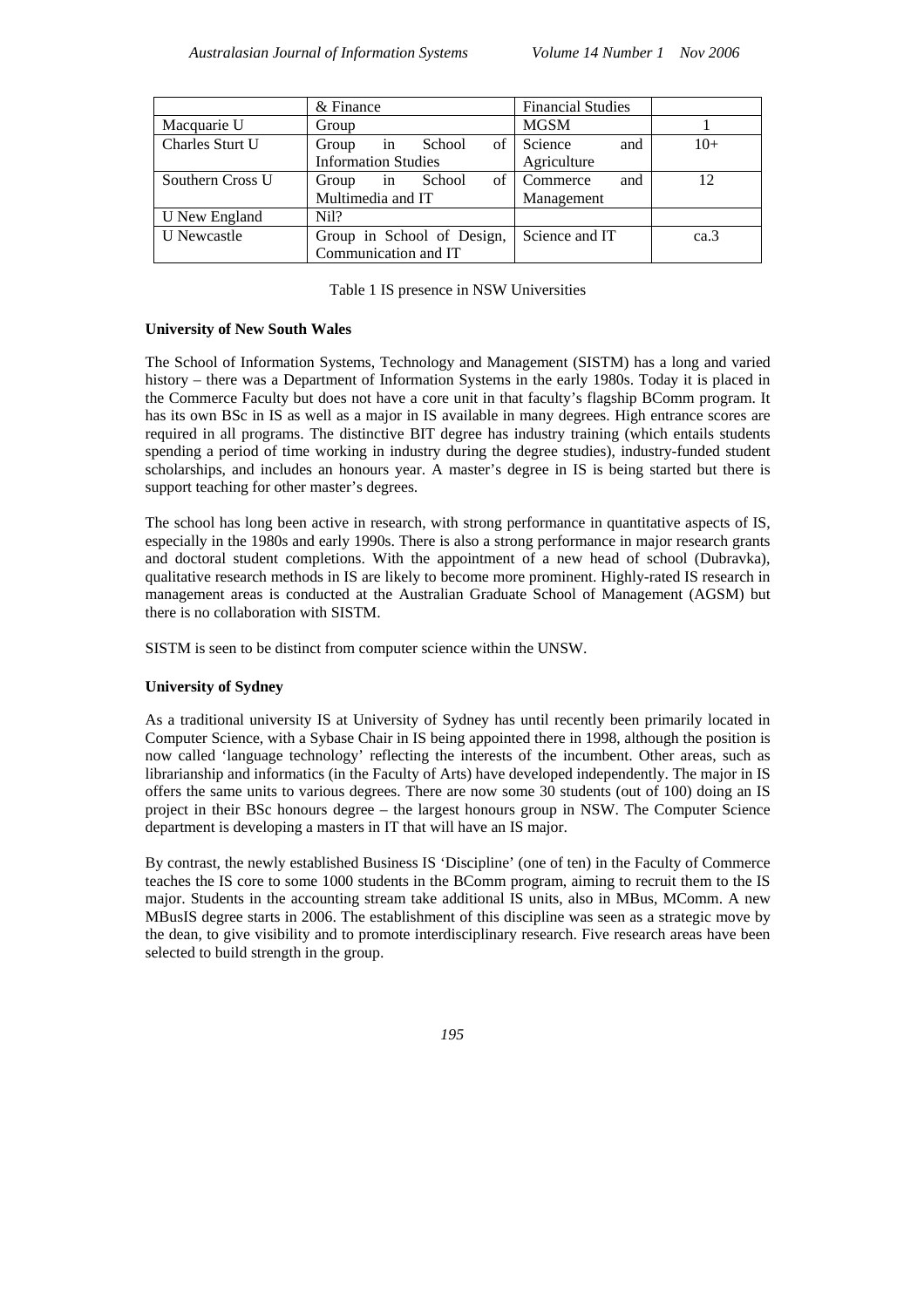|                  | & Finance                  | <b>Financial Studies</b> |       |
|------------------|----------------------------|--------------------------|-------|
| Macquarie U      | Group                      | <b>MGSM</b>              |       |
| Charles Sturt U  | of<br>in School<br>Group   | Science<br>and           | $10+$ |
|                  | <b>Information Studies</b> | Agriculture              |       |
| Southern Cross U | οf<br>in School<br>Group   | Commerce<br>and          | 12    |
|                  | Multimedia and IT          | Management               |       |
| U New England    | Nil?                       |                          |       |
| U Newcastle      | Group in School of Design, | Science and IT           | ca.3  |
|                  | Communication and IT       |                          |       |

Table 1 IS presence in NSW Universities

### **University of New South Wales**

The School of Information Systems, Technology and Management (SISTM) has a long and varied history – there was a Department of Information Systems in the early 1980s. Today it is placed in the Commerce Faculty but does not have a core unit in that faculty's flagship BComm program. It has its own BSc in IS as well as a major in IS available in many degrees. High entrance scores are required in all programs. The distinctive BIT degree has industry training (which entails students spending a period of time working in industry during the degree studies), industry-funded student scholarships, and includes an honours year. A master's degree in IS is being started but there is support teaching for other master's degrees.

The school has long been active in research, with strong performance in quantitative aspects of IS, especially in the 1980s and early 1990s. There is also a strong performance in major research grants and doctoral student completions. With the appointment of a new head of school (Dubravka), qualitative research methods in IS are likely to become more prominent. Highly-rated IS research in management areas is conducted at the Australian Graduate School of Management (AGSM) but there is no collaboration with SISTM.

SISTM is seen to be distinct from computer science within the UNSW.

### **University of Sydney**

As a traditional university IS at University of Sydney has until recently been primarily located in Computer Science, with a Sybase Chair in IS being appointed there in 1998, although the position is now called 'language technology' reflecting the interests of the incumbent. Other areas, such as librarianship and informatics (in the Faculty of Arts) have developed independently. The major in IS offers the same units to various degrees. There are now some 30 students (out of 100) doing an IS project in their BSc honours degree – the largest honours group in NSW. The Computer Science department is developing a masters in IT that will have an IS major.

By contrast, the newly established Business IS 'Discipline' (one of ten) in the Faculty of Commerce teaches the IS core to some 1000 students in the BComm program, aiming to recruit them to the IS major. Students in the accounting stream take additional IS units, also in MBus, MComm. A new MBusIS degree starts in 2006. The establishment of this discipline was seen as a strategic move by the dean, to give visibility and to promote interdisciplinary research. Five research areas have been selected to build strength in the group.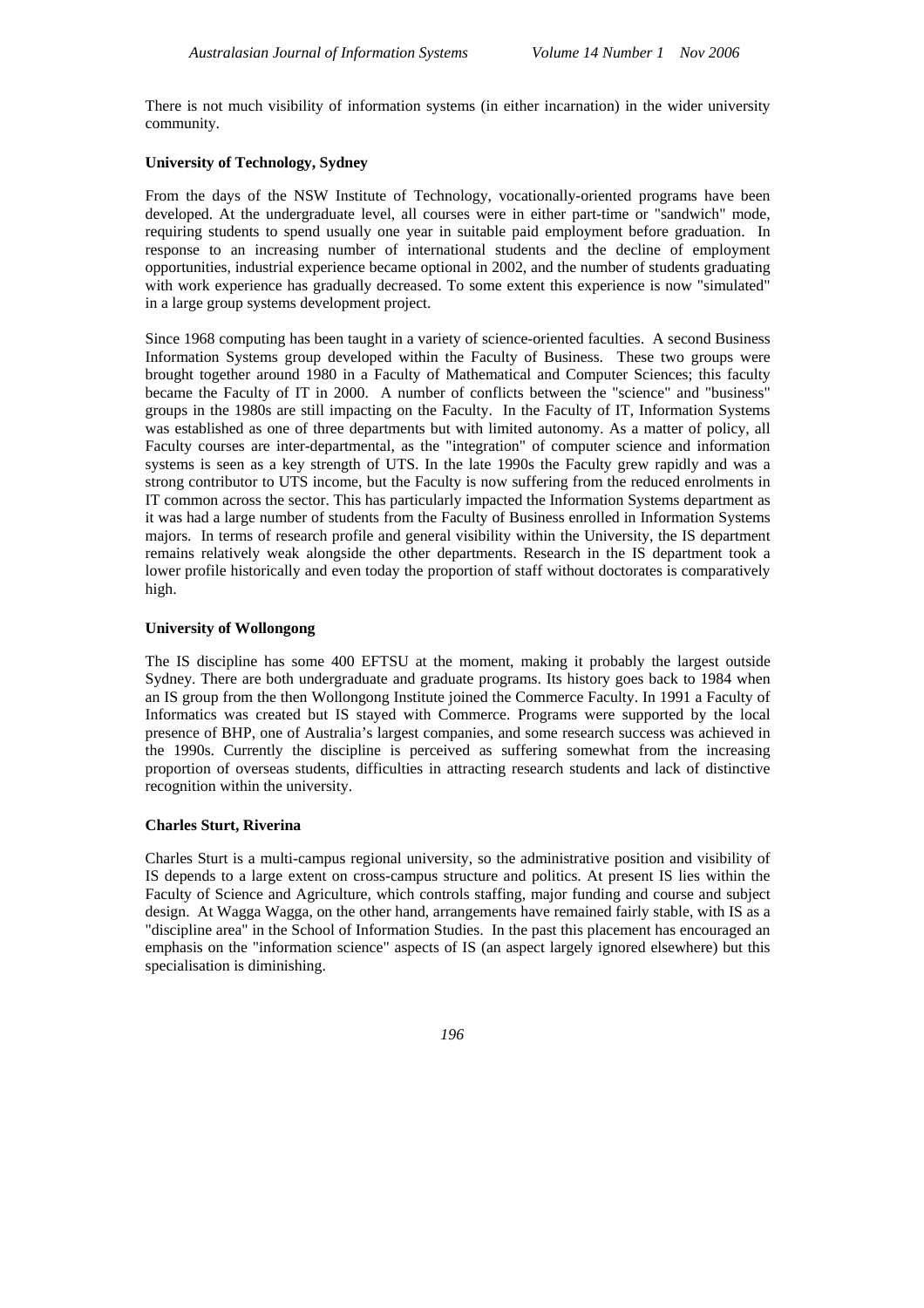There is not much visibility of information systems (in either incarnation) in the wider university community.

# **University of Technology, Sydney**

From the days of the NSW Institute of Technology, vocationally-oriented programs have been developed. At the undergraduate level, all courses were in either part-time or "sandwich" mode, requiring students to spend usually one year in suitable paid employment before graduation. In response to an increasing number of international students and the decline of employment opportunities, industrial experience became optional in 2002, and the number of students graduating with work experience has gradually decreased. To some extent this experience is now "simulated" in a large group systems development project.

Since 1968 computing has been taught in a variety of science-oriented faculties. A second Business Information Systems group developed within the Faculty of Business. These two groups were brought together around 1980 in a Faculty of Mathematical and Computer Sciences; this faculty became the Faculty of IT in 2000. A number of conflicts between the "science" and "business" groups in the 1980s are still impacting on the Faculty. In the Faculty of IT, Information Systems was established as one of three departments but with limited autonomy. As a matter of policy, all Faculty courses are inter-departmental, as the "integration" of computer science and information systems is seen as a key strength of UTS. In the late 1990s the Faculty grew rapidly and was a strong contributor to UTS income, but the Faculty is now suffering from the reduced enrolments in IT common across the sector. This has particularly impacted the Information Systems department as it was had a large number of students from the Faculty of Business enrolled in Information Systems majors. In terms of research profile and general visibility within the University, the IS department remains relatively weak alongside the other departments. Research in the IS department took a lower profile historically and even today the proportion of staff without doctorates is comparatively high.

#### **University of Wollongong**

The IS discipline has some 400 EFTSU at the moment, making it probably the largest outside Sydney. There are both undergraduate and graduate programs. Its history goes back to 1984 when an IS group from the then Wollongong Institute joined the Commerce Faculty. In 1991 a Faculty of Informatics was created but IS stayed with Commerce. Programs were supported by the local presence of BHP, one of Australia's largest companies, and some research success was achieved in the 1990s. Currently the discipline is perceived as suffering somewhat from the increasing proportion of overseas students, difficulties in attracting research students and lack of distinctive recognition within the university.

# **Charles Sturt, Riverina**

Charles Sturt is a multi-campus regional university, so the administrative position and visibility of IS depends to a large extent on cross-campus structure and politics. At present IS lies within the Faculty of Science and Agriculture, which controls staffing, major funding and course and subject design. At Wagga Wagga, on the other hand, arrangements have remained fairly stable, with IS as a "discipline area" in the School of Information Studies. In the past this placement has encouraged an emphasis on the "information science" aspects of IS (an aspect largely ignored elsewhere) but this specialisation is diminishing.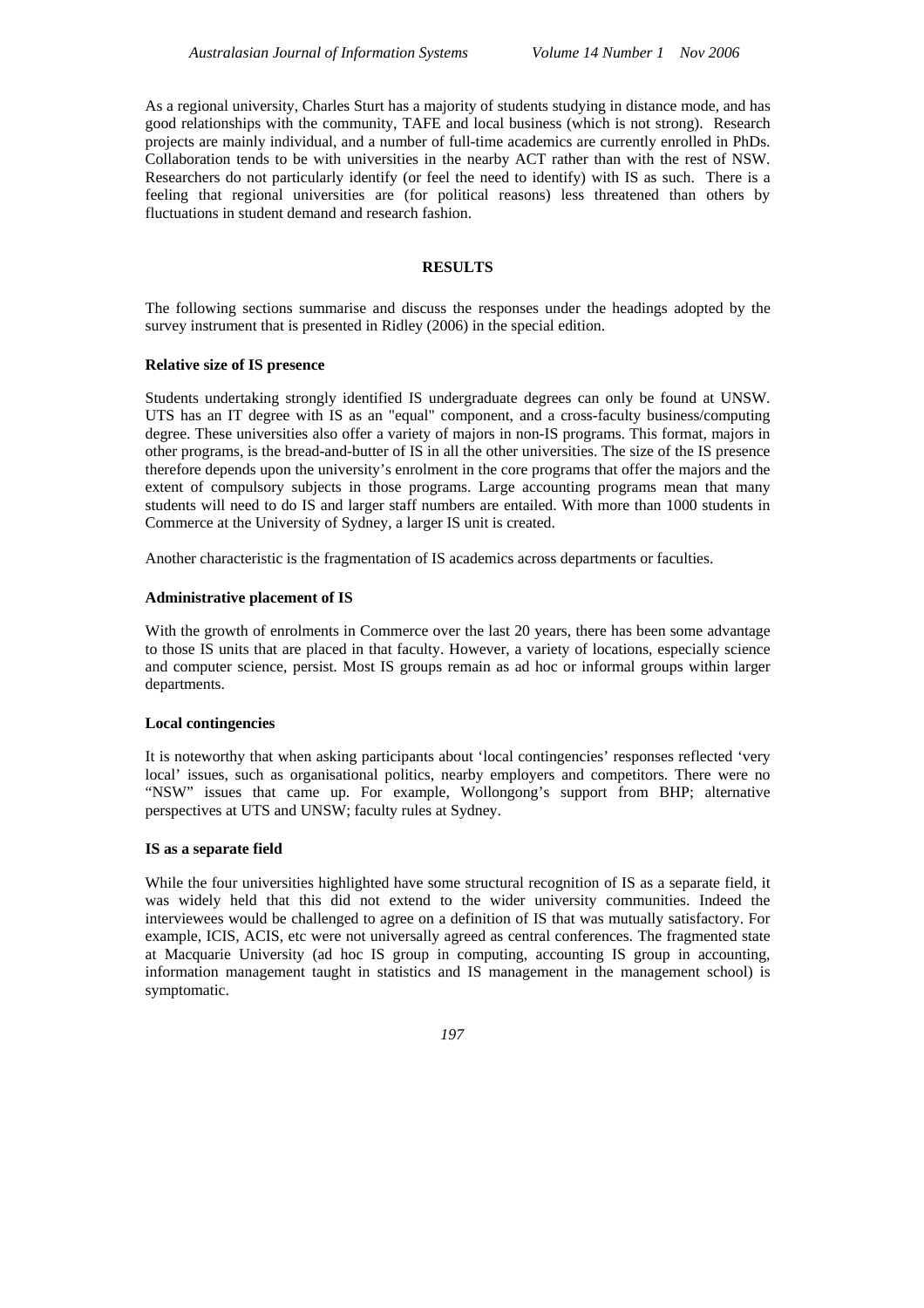As a regional university, Charles Sturt has a majority of students studying in distance mode, and has good relationships with the community, TAFE and local business (which is not strong). Research projects are mainly individual, and a number of full-time academics are currently enrolled in PhDs. Collaboration tends to be with universities in the nearby ACT rather than with the rest of NSW. Researchers do not particularly identify (or feel the need to identify) with IS as such. There is a feeling that regional universities are (for political reasons) less threatened than others by fluctuations in student demand and research fashion.

## **RESULTS**

The following sections summarise and discuss the responses under the headings adopted by the survey instrument that is presented in Ridley (2006) in the special edition.

#### **Relative size of IS presence**

Students undertaking strongly identified IS undergraduate degrees can only be found at UNSW. UTS has an IT degree with IS as an "equal" component, and a cross-faculty business/computing degree. These universities also offer a variety of majors in non-IS programs. This format, majors in other programs, is the bread-and-butter of IS in all the other universities. The size of the IS presence therefore depends upon the university's enrolment in the core programs that offer the majors and the extent of compulsory subjects in those programs. Large accounting programs mean that many students will need to do IS and larger staff numbers are entailed. With more than 1000 students in Commerce at the University of Sydney, a larger IS unit is created.

Another characteristic is the fragmentation of IS academics across departments or faculties.

#### **Administrative placement of IS**

With the growth of enrolments in Commerce over the last 20 years, there has been some advantage to those IS units that are placed in that faculty. However, a variety of locations, especially science and computer science, persist. Most IS groups remain as ad hoc or informal groups within larger departments.

#### **Local contingencies**

It is noteworthy that when asking participants about 'local contingencies' responses reflected 'very local' issues, such as organisational politics, nearby employers and competitors. There were no "NSW" issues that came up. For example, Wollongong's support from BHP; alternative perspectives at UTS and UNSW; faculty rules at Sydney.

#### **IS as a separate field**

While the four universities highlighted have some structural recognition of IS as a separate field, it was widely held that this did not extend to the wider university communities. Indeed the interviewees would be challenged to agree on a definition of IS that was mutually satisfactory. For example, ICIS, ACIS, etc were not universally agreed as central conferences. The fragmented state at Macquarie University (ad hoc IS group in computing, accounting IS group in accounting, information management taught in statistics and IS management in the management school) is symptomatic.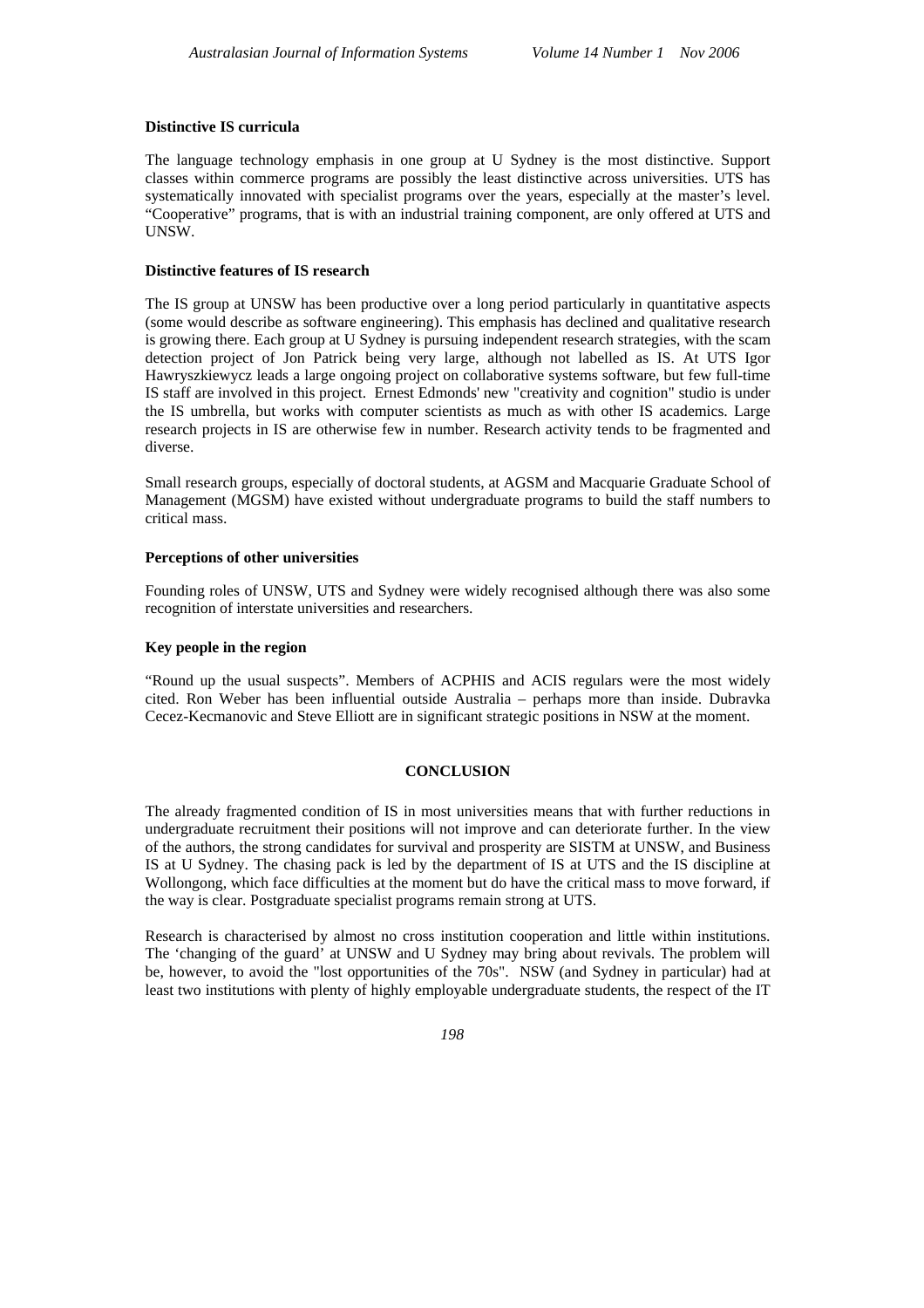# **Distinctive IS curricula**

The language technology emphasis in one group at U Sydney is the most distinctive. Support classes within commerce programs are possibly the least distinctive across universities. UTS has systematically innovated with specialist programs over the years, especially at the master's level. "Cooperative" programs, that is with an industrial training component, are only offered at UTS and UNSW.

### **Distinctive features of IS research**

The IS group at UNSW has been productive over a long period particularly in quantitative aspects (some would describe as software engineering). This emphasis has declined and qualitative research is growing there. Each group at U Sydney is pursuing independent research strategies, with the scam detection project of Jon Patrick being very large, although not labelled as IS. At UTS Igor Hawryszkiewycz leads a large ongoing project on collaborative systems software, but few full-time IS staff are involved in this project. Ernest Edmonds' new "creativity and cognition" studio is under the IS umbrella, but works with computer scientists as much as with other IS academics. Large research projects in IS are otherwise few in number. Research activity tends to be fragmented and diverse.

Small research groups, especially of doctoral students, at AGSM and Macquarie Graduate School of Management (MGSM) have existed without undergraduate programs to build the staff numbers to critical mass.

### **Perceptions of other universities**

Founding roles of UNSW, UTS and Sydney were widely recognised although there was also some recognition of interstate universities and researchers.

### **Key people in the region**

"Round up the usual suspects". Members of ACPHIS and ACIS regulars were the most widely cited. Ron Weber has been influential outside Australia – perhaps more than inside. Dubravka Cecez-Kecmanovic and Steve Elliott are in significant strategic positions in NSW at the moment.

#### **CONCLUSION**

The already fragmented condition of IS in most universities means that with further reductions in undergraduate recruitment their positions will not improve and can deteriorate further. In the view of the authors, the strong candidates for survival and prosperity are SISTM at UNSW, and Business IS at U Sydney. The chasing pack is led by the department of IS at UTS and the IS discipline at Wollongong, which face difficulties at the moment but do have the critical mass to move forward, if the way is clear. Postgraduate specialist programs remain strong at UTS.

Research is characterised by almost no cross institution cooperation and little within institutions. The 'changing of the guard' at UNSW and U Sydney may bring about revivals. The problem will be, however, to avoid the "lost opportunities of the 70s". NSW (and Sydney in particular) had at least two institutions with plenty of highly employable undergraduate students, the respect of the IT